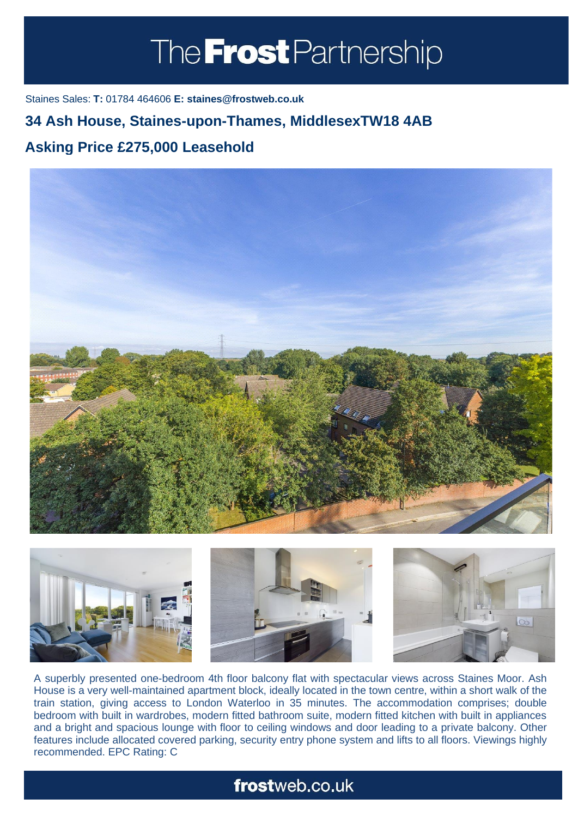# The **Frost** Partnership

Staines Sales: **T:** 01784 464606 **E: staines@frostweb.co.uk**

## **34 Ash House, Staines-upon-Thames, MiddlesexTW18 4AB**

#### **Asking Price £275,000 Leasehold (Property.Lettings.RentQual == "PA" ? "Rent on application" : Property.** Property. **Property.**





A superbly presented one-bedroom 4th floor balcony flat with spectacular views across Staines Moor. Ash House is a very well-maintained apartment block, ideally located in the town centre, within a short walk of the train station, giving access to London Waterloo in 35 minutes. The accommodation comprises; double bedroom with built in wardrobes, modern fitted bathroom suite, modern fitted kitchen with built in appliances and a bright and spacious lounge with floor to ceiling windows and door leading to a private balcony. Other features include allocated covered parking, security entry phone system and lifts to all floors. Viewings highly recommended. EPC Rating: C

# frostweb.co.uk